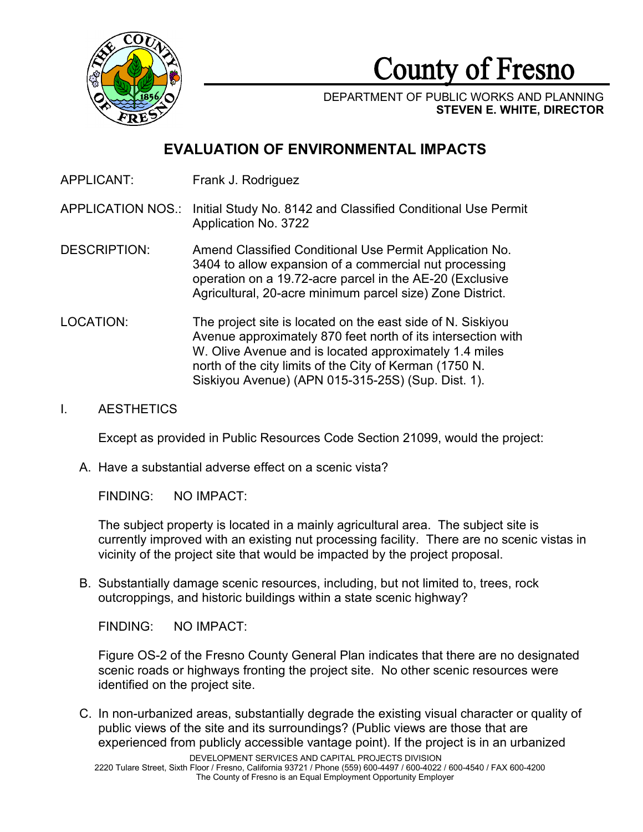

County of Fresno

DEPARTMENT OF PUBLIC WORKS AND PLANNING **STEVEN E. WHITE, DIRECTOR**

# **EVALUATION OF ENVIRONMENTAL IMPACTS**

APPLICANT: Frank J. Rodriguez

APPLICATION NOS.: Initial Study No. 8142 and Classified Conditional Use Permit Application No. 3722

- DESCRIPTION: Amend Classified Conditional Use Permit Application No. 3404 to allow expansion of a commercial nut processing operation on a 19.72-acre parcel in the AE-20 (Exclusive Agricultural, 20-acre minimum parcel size) Zone District.
- LOCATION: The project site is located on the east side of N. Siskiyou Avenue approximately 870 feet north of its intersection with W. Olive Avenue and is located approximately 1.4 miles north of the city limits of the City of Kerman (1750 N. Siskiyou Avenue) (APN 015-315-25S) (Sup. Dist. 1).

### I. AESTHETICS

Except as provided in Public Resources Code Section 21099, would the project:

A. Have a substantial adverse effect on a scenic vista?

FINDING: NO IMPACT:

The subject property is located in a mainly agricultural area. The subject site is currently improved with an existing nut processing facility. There are no scenic vistas in vicinity of the project site that would be impacted by the project proposal.

B. Substantially damage scenic resources, including, but not limited to, trees, rock outcroppings, and historic buildings within a state scenic highway?

FINDING: NO IMPACT:

Figure OS-2 of the Fresno County General Plan indicates that there are no designated scenic roads or highways fronting the project site. No other scenic resources were identified on the project site.

C. In non-urbanized areas, substantially degrade the existing visual character or quality of public views of the site and its surroundings? (Public views are those that are experienced from publicly accessible vantage point). If the project is in an urbanized

DEVELOPMENT SERVICES AND CAPITAL PROJECTS DIVISION 2220 Tulare Street, Sixth Floor / Fresno, California 93721 / Phone (559) 600-4497 / 600-4022 / 600-4540 / FAX 600-4200 The County of Fresno is an Equal Employment Opportunity Employer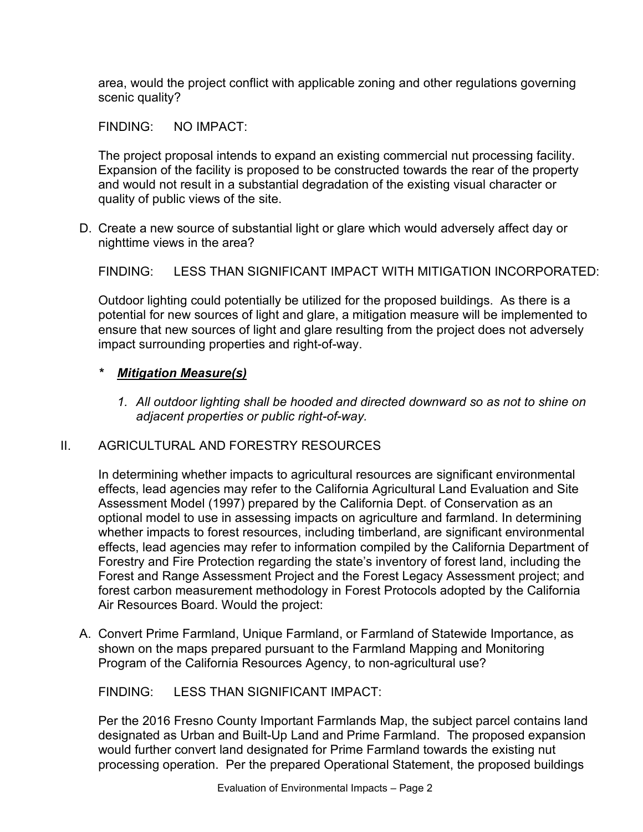area, would the project conflict with applicable zoning and other regulations governing scenic quality?

FINDING: NO IMPACT:

The project proposal intends to expand an existing commercial nut processing facility. Expansion of the facility is proposed to be constructed towards the rear of the property and would not result in a substantial degradation of the existing visual character or quality of public views of the site.

D. Create a new source of substantial light or glare which would adversely affect day or nighttime views in the area?

FINDING: LESS THAN SIGNIFICANT IMPACT WITH MITIGATION INCORPORATED:

Outdoor lighting could potentially be utilized for the proposed buildings. As there is a potential for new sources of light and glare, a mitigation measure will be implemented to ensure that new sources of light and glare resulting from the project does not adversely impact surrounding properties and right-of-way.

# *\* Mitigation Measure(s)*

*1. All outdoor lighting shall be hooded and directed downward so as not to shine on adjacent properties or public right-of-way.* 

### II. AGRICULTURAL AND FORESTRY RESOURCES

In determining whether impacts to agricultural resources are significant environmental effects, lead agencies may refer to the California Agricultural Land Evaluation and Site Assessment Model (1997) prepared by the California Dept. of Conservation as an optional model to use in assessing impacts on agriculture and farmland. In determining whether impacts to forest resources, including timberland, are significant environmental effects, lead agencies may refer to information compiled by the California Department of Forestry and Fire Protection regarding the state's inventory of forest land, including the Forest and Range Assessment Project and the Forest Legacy Assessment project; and forest carbon measurement methodology in Forest Protocols adopted by the California Air Resources Board. Would the project:

A. Convert Prime Farmland, Unique Farmland, or Farmland of Statewide Importance, as shown on the maps prepared pursuant to the Farmland Mapping and Monitoring Program of the California Resources Agency, to non-agricultural use?

FINDING: LESS THAN SIGNIFICANT IMPACT:

Per the 2016 Fresno County Important Farmlands Map, the subject parcel contains land designated as Urban and Built-Up Land and Prime Farmland. The proposed expansion would further convert land designated for Prime Farmland towards the existing nut processing operation. Per the prepared Operational Statement, the proposed buildings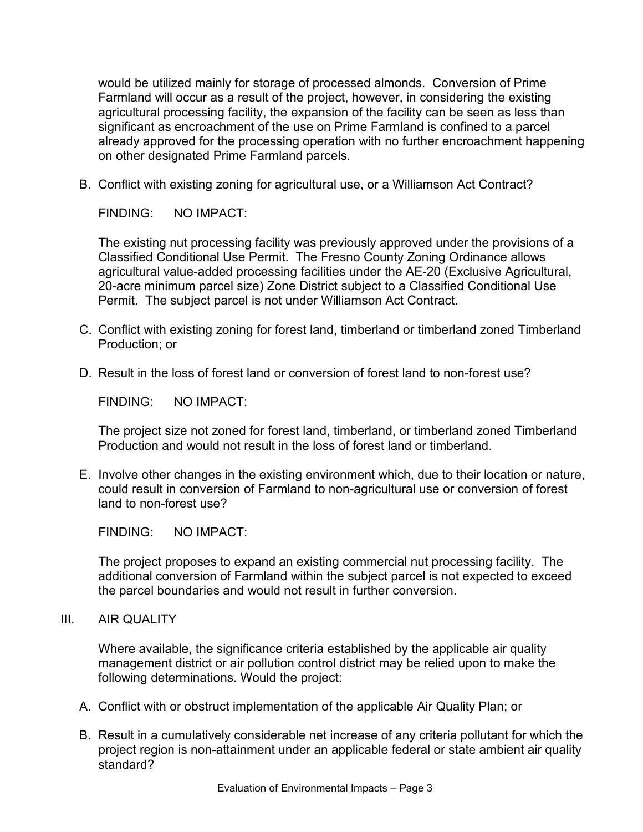would be utilized mainly for storage of processed almonds. Conversion of Prime Farmland will occur as a result of the project, however, in considering the existing agricultural processing facility, the expansion of the facility can be seen as less than significant as encroachment of the use on Prime Farmland is confined to a parcel already approved for the processing operation with no further encroachment happening on other designated Prime Farmland parcels.

B. Conflict with existing zoning for agricultural use, or a Williamson Act Contract?

FINDING: NO IMPACT:

The existing nut processing facility was previously approved under the provisions of a Classified Conditional Use Permit. The Fresno County Zoning Ordinance allows agricultural value-added processing facilities under the AE-20 (Exclusive Agricultural, 20-acre minimum parcel size) Zone District subject to a Classified Conditional Use Permit. The subject parcel is not under Williamson Act Contract.

- C. Conflict with existing zoning for forest land, timberland or timberland zoned Timberland Production; or
- D. Result in the loss of forest land or conversion of forest land to non-forest use?

FINDING: NO IMPACT:

The project size not zoned for forest land, timberland, or timberland zoned Timberland Production and would not result in the loss of forest land or timberland.

E. Involve other changes in the existing environment which, due to their location or nature, could result in conversion of Farmland to non-agricultural use or conversion of forest land to non-forest use?

FINDING: NO IMPACT:

The project proposes to expand an existing commercial nut processing facility. The additional conversion of Farmland within the subject parcel is not expected to exceed the parcel boundaries and would not result in further conversion.

III. AIR QUALITY

Where available, the significance criteria established by the applicable air quality management district or air pollution control district may be relied upon to make the following determinations. Would the project:

- A. Conflict with or obstruct implementation of the applicable Air Quality Plan; or
- B. Result in a cumulatively considerable net increase of any criteria pollutant for which the project region is non-attainment under an applicable federal or state ambient air quality standard?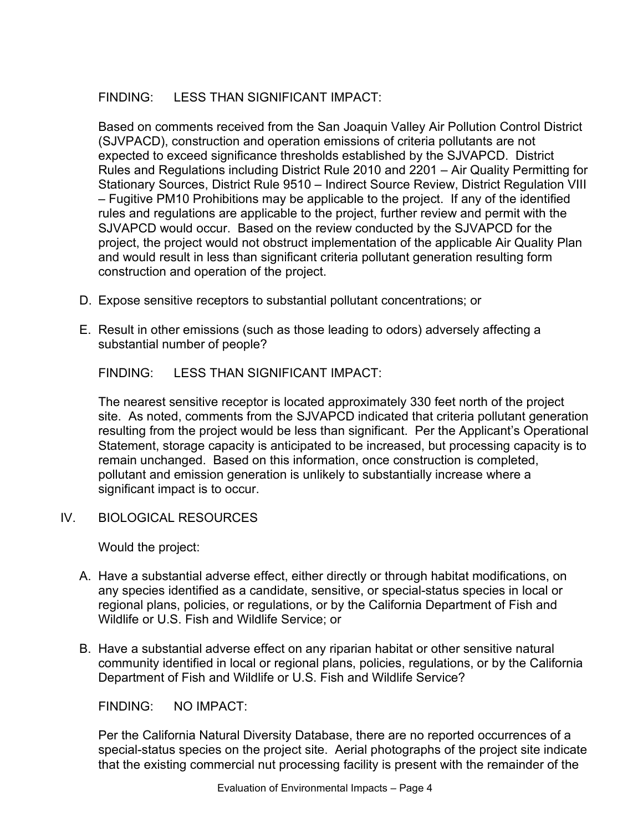# FINDING: LESS THAN SIGNIFICANT IMPACT:

Based on comments received from the San Joaquin Valley Air Pollution Control District (SJVPACD), construction and operation emissions of criteria pollutants are not expected to exceed significance thresholds established by the SJVAPCD. District Rules and Regulations including District Rule 2010 and 2201 – Air Quality Permitting for Stationary Sources, District Rule 9510 – Indirect Source Review, District Regulation VIII – Fugitive PM10 Prohibitions may be applicable to the project. If any of the identified rules and regulations are applicable to the project, further review and permit with the SJVAPCD would occur. Based on the review conducted by the SJVAPCD for the project, the project would not obstruct implementation of the applicable Air Quality Plan and would result in less than significant criteria pollutant generation resulting form construction and operation of the project.

- D. Expose sensitive receptors to substantial pollutant concentrations; or
- E. Result in other emissions (such as those leading to odors) adversely affecting a substantial number of people?

FINDING: LESS THAN SIGNIFICANT IMPACT:

The nearest sensitive receptor is located approximately 330 feet north of the project site. As noted, comments from the SJVAPCD indicated that criteria pollutant generation resulting from the project would be less than significant. Per the Applicant's Operational Statement, storage capacity is anticipated to be increased, but processing capacity is to remain unchanged. Based on this information, once construction is completed, pollutant and emission generation is unlikely to substantially increase where a significant impact is to occur.

IV. BIOLOGICAL RESOURCES

Would the project:

- A. Have a substantial adverse effect, either directly or through habitat modifications, on any species identified as a candidate, sensitive, or special-status species in local or regional plans, policies, or regulations, or by the California Department of Fish and Wildlife or U.S. Fish and Wildlife Service; or
- B. Have a substantial adverse effect on any riparian habitat or other sensitive natural community identified in local or regional plans, policies, regulations, or by the California Department of Fish and Wildlife or U.S. Fish and Wildlife Service?

FINDING: NO IMPACT:

Per the California Natural Diversity Database, there are no reported occurrences of a special-status species on the project site. Aerial photographs of the project site indicate that the existing commercial nut processing facility is present with the remainder of the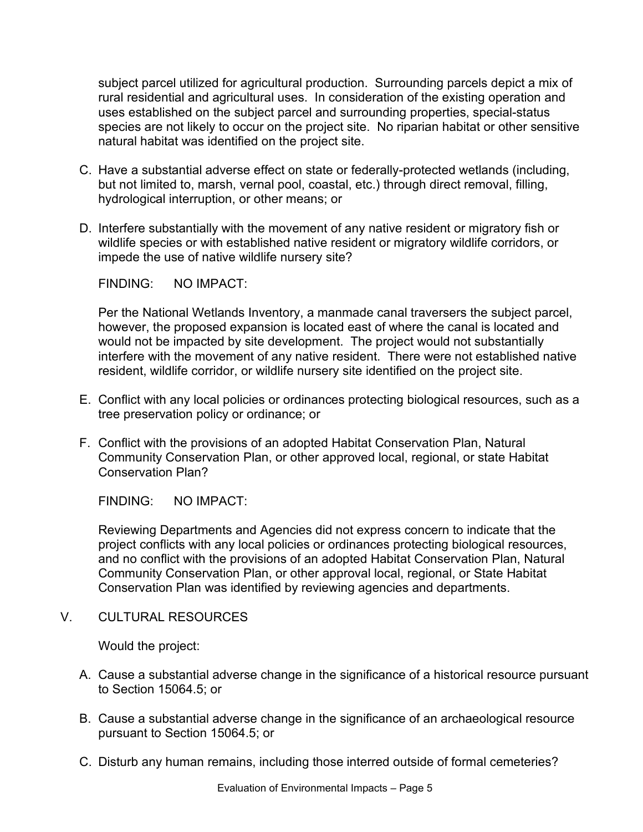subject parcel utilized for agricultural production. Surrounding parcels depict a mix of rural residential and agricultural uses. In consideration of the existing operation and uses established on the subject parcel and surrounding properties, special-status species are not likely to occur on the project site. No riparian habitat or other sensitive natural habitat was identified on the project site.

- C. Have a substantial adverse effect on state or federally-protected wetlands (including, but not limited to, marsh, vernal pool, coastal, etc.) through direct removal, filling, hydrological interruption, or other means; or
- D. Interfere substantially with the movement of any native resident or migratory fish or wildlife species or with established native resident or migratory wildlife corridors, or impede the use of native wildlife nursery site?

FINDING: NO IMPACT:

Per the National Wetlands Inventory, a manmade canal traversers the subject parcel, however, the proposed expansion is located east of where the canal is located and would not be impacted by site development. The project would not substantially interfere with the movement of any native resident. There were not established native resident, wildlife corridor, or wildlife nursery site identified on the project site.

- E. Conflict with any local policies or ordinances protecting biological resources, such as a tree preservation policy or ordinance; or
- F. Conflict with the provisions of an adopted Habitat Conservation Plan, Natural Community Conservation Plan, or other approved local, regional, or state Habitat Conservation Plan?

FINDING: NO IMPACT:

Reviewing Departments and Agencies did not express concern to indicate that the project conflicts with any local policies or ordinances protecting biological resources, and no conflict with the provisions of an adopted Habitat Conservation Plan, Natural Community Conservation Plan, or other approval local, regional, or State Habitat Conservation Plan was identified by reviewing agencies and departments.

V. CULTURAL RESOURCES

Would the project:

- A. Cause a substantial adverse change in the significance of a historical resource pursuant to Section 15064.5; or
- B. Cause a substantial adverse change in the significance of an archaeological resource pursuant to Section 15064.5; or
- C. Disturb any human remains, including those interred outside of formal cemeteries?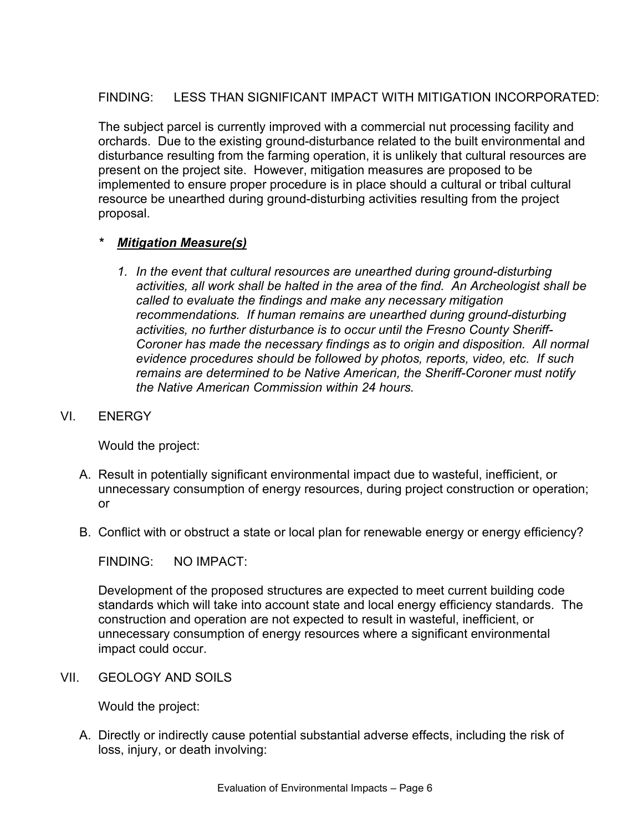# FINDING: LESS THAN SIGNIFICANT IMPACT WITH MITIGATION INCORPORATED:

The subject parcel is currently improved with a commercial nut processing facility and orchards. Due to the existing ground-disturbance related to the built environmental and disturbance resulting from the farming operation, it is unlikely that cultural resources are present on the project site. However, mitigation measures are proposed to be implemented to ensure proper procedure is in place should a cultural or tribal cultural resource be unearthed during ground-disturbing activities resulting from the project proposal.

### *\* Mitigation Measure(s)*

*1. In the event that cultural resources are unearthed during ground-disturbing activities, all work shall be halted in the area of the find. An Archeologist shall be called to evaluate the findings and make any necessary mitigation recommendations. If human remains are unearthed during ground-disturbing activities, no further disturbance is to occur until the Fresno County Sheriff-Coroner has made the necessary findings as to origin and disposition. All normal evidence procedures should be followed by photos, reports, video, etc. If such remains are determined to be Native American, the Sheriff-Coroner must notify the Native American Commission within 24 hours.* 

### VI. ENERGY

Would the project:

- A. Result in potentially significant environmental impact due to wasteful, inefficient, or unnecessary consumption of energy resources, during project construction or operation; or
- B. Conflict with or obstruct a state or local plan for renewable energy or energy efficiency?

FINDING: NO IMPACT:

Development of the proposed structures are expected to meet current building code standards which will take into account state and local energy efficiency standards. The construction and operation are not expected to result in wasteful, inefficient, or unnecessary consumption of energy resources where a significant environmental impact could occur.

VII. GEOLOGY AND SOILS

Would the project:

A. Directly or indirectly cause potential substantial adverse effects, including the risk of loss, injury, or death involving: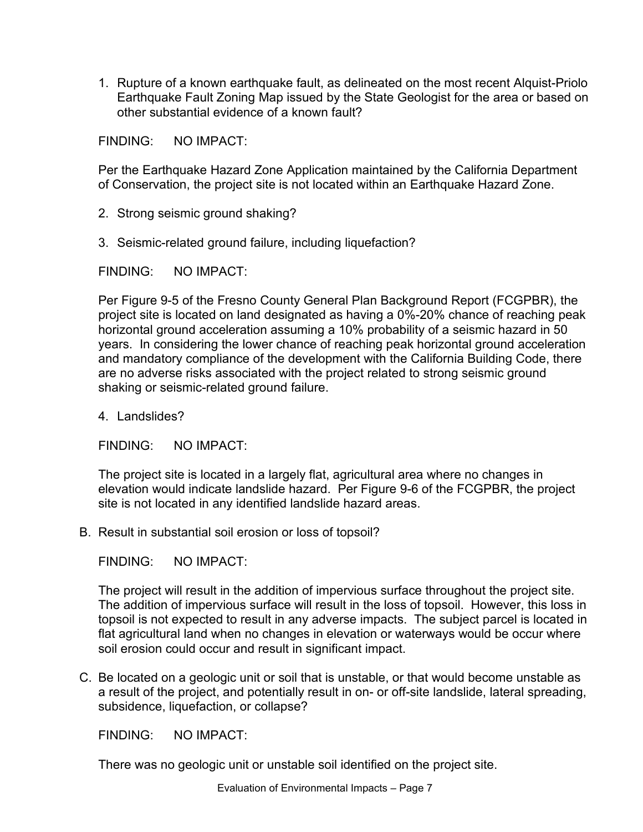1. Rupture of a known earthquake fault, as delineated on the most recent Alquist-Priolo Earthquake Fault Zoning Map issued by the State Geologist for the area or based on other substantial evidence of a known fault?

FINDING: NO IMPACT:

Per the Earthquake Hazard Zone Application maintained by the California Department of Conservation, the project site is not located within an Earthquake Hazard Zone.

- 2. Strong seismic ground shaking?
- 3. Seismic-related ground failure, including liquefaction?

FINDING: NO IMPACT:

Per Figure 9-5 of the Fresno County General Plan Background Report (FCGPBR), the project site is located on land designated as having a 0%-20% chance of reaching peak horizontal ground acceleration assuming a 10% probability of a seismic hazard in 50 years. In considering the lower chance of reaching peak horizontal ground acceleration and mandatory compliance of the development with the California Building Code, there are no adverse risks associated with the project related to strong seismic ground shaking or seismic-related ground failure.

4. Landslides?

FINDING: NO IMPACT:

The project site is located in a largely flat, agricultural area where no changes in elevation would indicate landslide hazard. Per Figure 9-6 of the FCGPBR, the project site is not located in any identified landslide hazard areas.

B. Result in substantial soil erosion or loss of topsoil?

FINDING: NO IMPACT:

The project will result in the addition of impervious surface throughout the project site. The addition of impervious surface will result in the loss of topsoil. However, this loss in topsoil is not expected to result in any adverse impacts. The subject parcel is located in flat agricultural land when no changes in elevation or waterways would be occur where soil erosion could occur and result in significant impact.

C. Be located on a geologic unit or soil that is unstable, or that would become unstable as a result of the project, and potentially result in on- or off-site landslide, lateral spreading, subsidence, liquefaction, or collapse?

FINDING: NO IMPACT:

There was no geologic unit or unstable soil identified on the project site.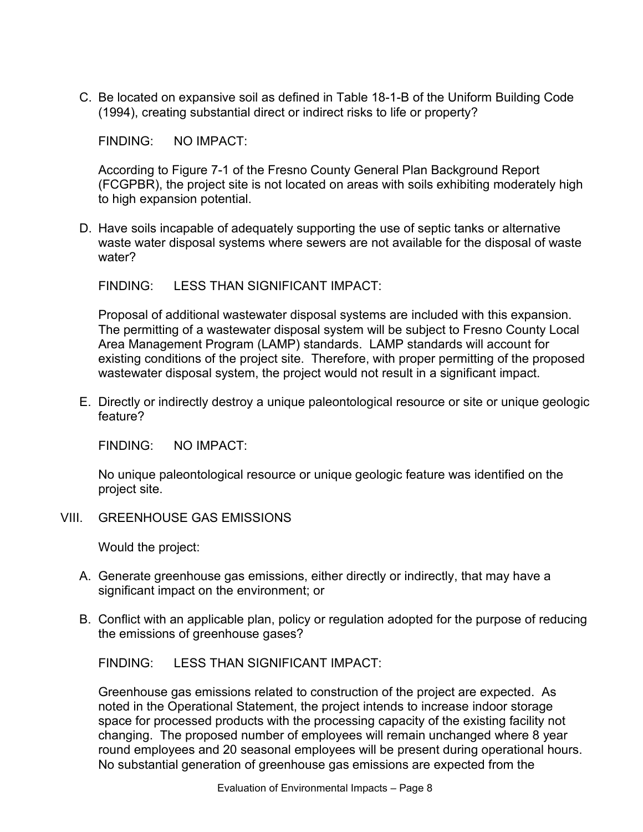C. Be located on expansive soil as defined in Table 18-1-B of the Uniform Building Code (1994), creating substantial direct or indirect risks to life or property?

FINDING: NO IMPACT:

According to Figure 7-1 of the Fresno County General Plan Background Report (FCGPBR), the project site is not located on areas with soils exhibiting moderately high to high expansion potential.

D. Have soils incapable of adequately supporting the use of septic tanks or alternative waste water disposal systems where sewers are not available for the disposal of waste water?

FINDING: LESS THAN SIGNIFICANT IMPACT:

Proposal of additional wastewater disposal systems are included with this expansion. The permitting of a wastewater disposal system will be subject to Fresno County Local Area Management Program (LAMP) standards. LAMP standards will account for existing conditions of the project site. Therefore, with proper permitting of the proposed wastewater disposal system, the project would not result in a significant impact.

E. Directly or indirectly destroy a unique paleontological resource or site or unique geologic feature?

FINDING: NO IMPACT:

No unique paleontological resource or unique geologic feature was identified on the project site.

VIII. GREENHOUSE GAS EMISSIONS

Would the project:

- A. Generate greenhouse gas emissions, either directly or indirectly, that may have a significant impact on the environment; or
- B. Conflict with an applicable plan, policy or regulation adopted for the purpose of reducing the emissions of greenhouse gases?

FINDING: LESS THAN SIGNIFICANT IMPACT:

Greenhouse gas emissions related to construction of the project are expected. As noted in the Operational Statement, the project intends to increase indoor storage space for processed products with the processing capacity of the existing facility not changing. The proposed number of employees will remain unchanged where 8 year round employees and 20 seasonal employees will be present during operational hours. No substantial generation of greenhouse gas emissions are expected from the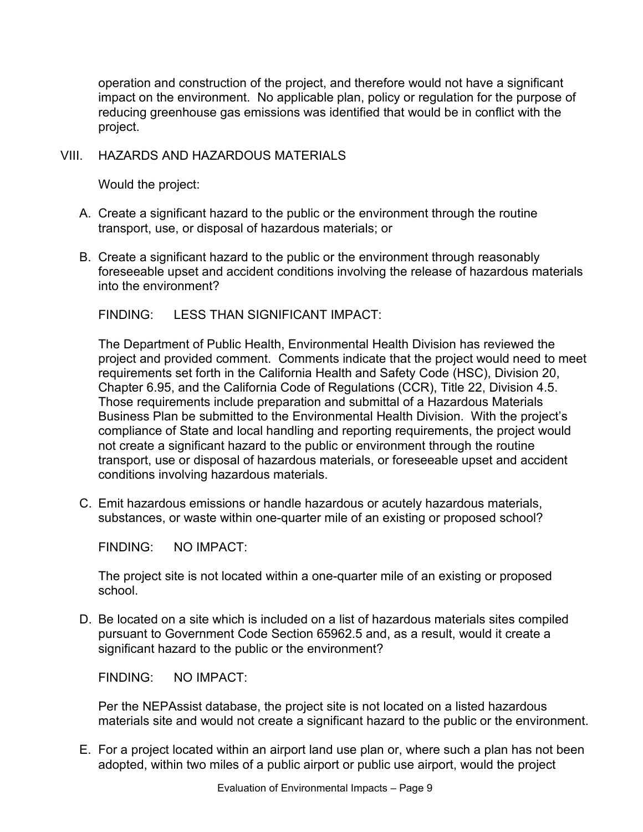operation and construction of the project, and therefore would not have a significant impact on the environment. No applicable plan, policy or regulation for the purpose of reducing greenhouse gas emissions was identified that would be in conflict with the project.

### VIII. HAZARDS AND HAZARDOUS MATERIALS

Would the project:

- A. Create a significant hazard to the public or the environment through the routine transport, use, or disposal of hazardous materials; or
- B. Create a significant hazard to the public or the environment through reasonably foreseeable upset and accident conditions involving the release of hazardous materials into the environment?

FINDING: LESS THAN SIGNIFICANT IMPACT:

The Department of Public Health, Environmental Health Division has reviewed the project and provided comment. Comments indicate that the project would need to meet requirements set forth in the California Health and Safety Code (HSC), Division 20, Chapter 6.95, and the California Code of Regulations (CCR), Title 22, Division 4.5. Those requirements include preparation and submittal of a Hazardous Materials Business Plan be submitted to the Environmental Health Division. With the project's compliance of State and local handling and reporting requirements, the project would not create a significant hazard to the public or environment through the routine transport, use or disposal of hazardous materials, or foreseeable upset and accident conditions involving hazardous materials.

C. Emit hazardous emissions or handle hazardous or acutely hazardous materials, substances, or waste within one-quarter mile of an existing or proposed school?

FINDING: NO IMPACT:

The project site is not located within a one-quarter mile of an existing or proposed school.

D. Be located on a site which is included on a list of hazardous materials sites compiled pursuant to Government Code Section 65962.5 and, as a result, would it create a significant hazard to the public or the environment?

FINDING: NO IMPACT:

Per the NEPAssist database, the project site is not located on a listed hazardous materials site and would not create a significant hazard to the public or the environment.

E. For a project located within an airport land use plan or, where such a plan has not been adopted, within two miles of a public airport or public use airport, would the project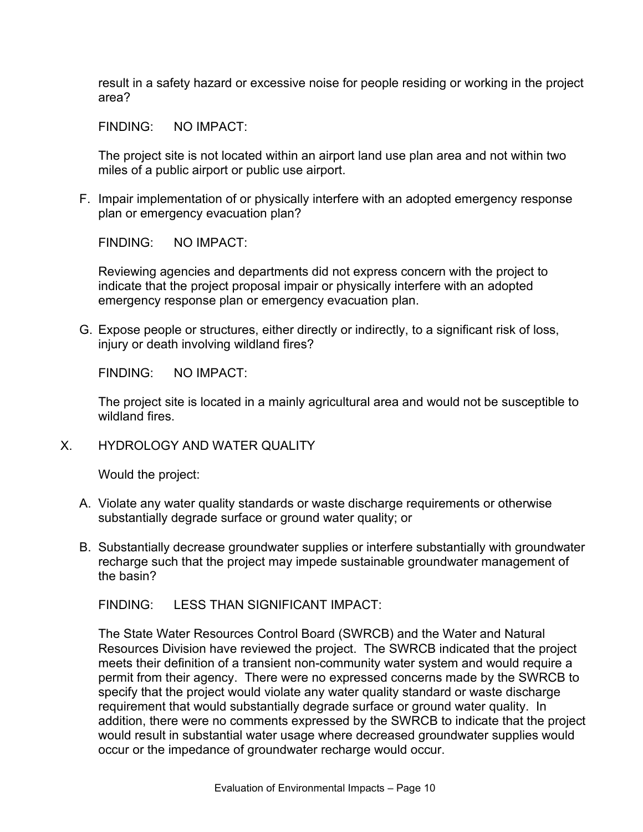result in a safety hazard or excessive noise for people residing or working in the project area?

FINDING: NO IMPACT:

The project site is not located within an airport land use plan area and not within two miles of a public airport or public use airport.

F. Impair implementation of or physically interfere with an adopted emergency response plan or emergency evacuation plan?

FINDING: NO IMPACT:

Reviewing agencies and departments did not express concern with the project to indicate that the project proposal impair or physically interfere with an adopted emergency response plan or emergency evacuation plan.

G. Expose people or structures, either directly or indirectly, to a significant risk of loss, injury or death involving wildland fires?

FINDING: NO IMPACT:

The project site is located in a mainly agricultural area and would not be susceptible to wildland fires.

X. HYDROLOGY AND WATER QUALITY

Would the project:

- A. Violate any water quality standards or waste discharge requirements or otherwise substantially degrade surface or ground water quality; or
- B. Substantially decrease groundwater supplies or interfere substantially with groundwater recharge such that the project may impede sustainable groundwater management of the basin?

FINDING: LESS THAN SIGNIFICANT IMPACT:

The State Water Resources Control Board (SWRCB) and the Water and Natural Resources Division have reviewed the project. The SWRCB indicated that the project meets their definition of a transient non-community water system and would require a permit from their agency. There were no expressed concerns made by the SWRCB to specify that the project would violate any water quality standard or waste discharge requirement that would substantially degrade surface or ground water quality. In addition, there were no comments expressed by the SWRCB to indicate that the project would result in substantial water usage where decreased groundwater supplies would occur or the impedance of groundwater recharge would occur.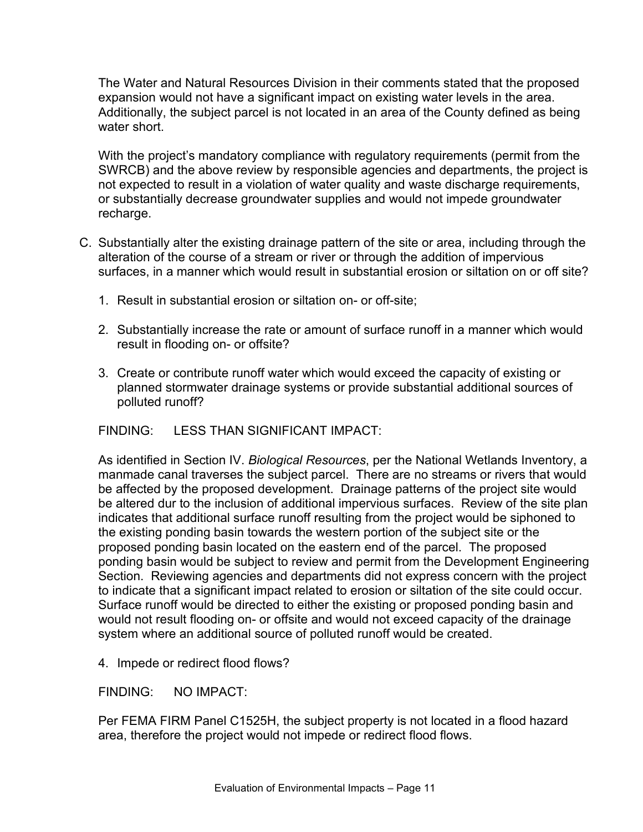The Water and Natural Resources Division in their comments stated that the proposed expansion would not have a significant impact on existing water levels in the area. Additionally, the subject parcel is not located in an area of the County defined as being water short.

With the project's mandatory compliance with regulatory requirements (permit from the SWRCB) and the above review by responsible agencies and departments, the project is not expected to result in a violation of water quality and waste discharge requirements, or substantially decrease groundwater supplies and would not impede groundwater recharge.

- C. Substantially alter the existing drainage pattern of the site or area, including through the alteration of the course of a stream or river or through the addition of impervious surfaces, in a manner which would result in substantial erosion or siltation on or off site?
	- 1. Result in substantial erosion or siltation on- or off-site;
	- 2. Substantially increase the rate or amount of surface runoff in a manner which would result in flooding on- or offsite?
	- 3. Create or contribute runoff water which would exceed the capacity of existing or planned stormwater drainage systems or provide substantial additional sources of polluted runoff?

FINDING: LESS THAN SIGNIFICANT IMPACT:

As identified in Section IV. *Biological Resources*, per the National Wetlands Inventory, a manmade canal traverses the subject parcel. There are no streams or rivers that would be affected by the proposed development. Drainage patterns of the project site would be altered dur to the inclusion of additional impervious surfaces. Review of the site plan indicates that additional surface runoff resulting from the project would be siphoned to the existing ponding basin towards the western portion of the subject site or the proposed ponding basin located on the eastern end of the parcel. The proposed ponding basin would be subject to review and permit from the Development Engineering Section. Reviewing agencies and departments did not express concern with the project to indicate that a significant impact related to erosion or siltation of the site could occur. Surface runoff would be directed to either the existing or proposed ponding basin and would not result flooding on- or offsite and would not exceed capacity of the drainage system where an additional source of polluted runoff would be created.

4. Impede or redirect flood flows?

FINDING: NO IMPACT:

Per FEMA FIRM Panel C1525H, the subject property is not located in a flood hazard area, therefore the project would not impede or redirect flood flows.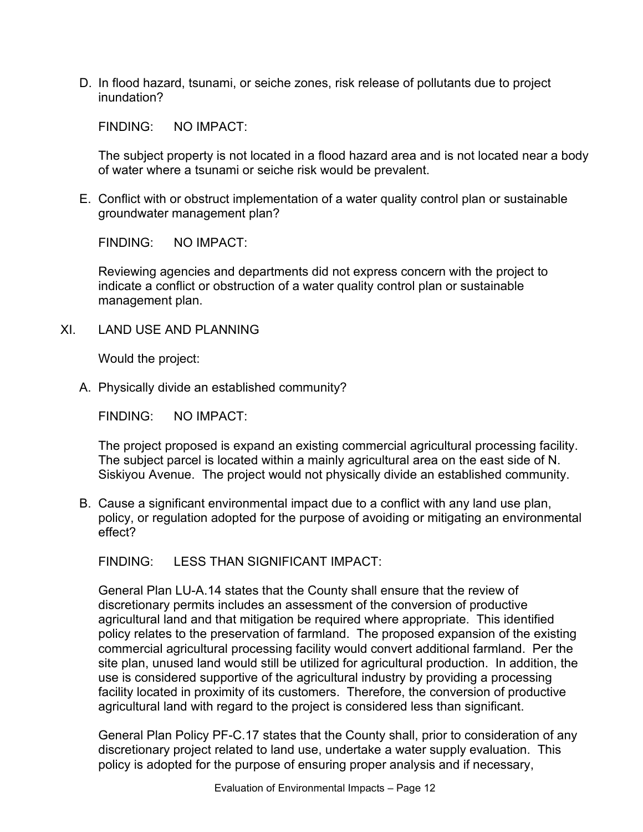D. In flood hazard, tsunami, or seiche zones, risk release of pollutants due to project inundation?

FINDING: NO IMPACT:

The subject property is not located in a flood hazard area and is not located near a body of water where a tsunami or seiche risk would be prevalent.

E. Conflict with or obstruct implementation of a water quality control plan or sustainable groundwater management plan?

FINDING: NO IMPACT:

Reviewing agencies and departments did not express concern with the project to indicate a conflict or obstruction of a water quality control plan or sustainable management plan.

XI. LAND USE AND PLANNING

Would the project:

A. Physically divide an established community?

FINDING: NO IMPACT:

The project proposed is expand an existing commercial agricultural processing facility. The subject parcel is located within a mainly agricultural area on the east side of N. Siskiyou Avenue. The project would not physically divide an established community.

B. Cause a significant environmental impact due to a conflict with any land use plan, policy, or regulation adopted for the purpose of avoiding or mitigating an environmental effect?

FINDING: LESS THAN SIGNIFICANT IMPACT:

General Plan LU-A.14 states that the County shall ensure that the review of discretionary permits includes an assessment of the conversion of productive agricultural land and that mitigation be required where appropriate. This identified policy relates to the preservation of farmland. The proposed expansion of the existing commercial agricultural processing facility would convert additional farmland. Per the site plan, unused land would still be utilized for agricultural production. In addition, the use is considered supportive of the agricultural industry by providing a processing facility located in proximity of its customers. Therefore, the conversion of productive agricultural land with regard to the project is considered less than significant.

General Plan Policy PF-C.17 states that the County shall, prior to consideration of any discretionary project related to land use, undertake a water supply evaluation. This policy is adopted for the purpose of ensuring proper analysis and if necessary,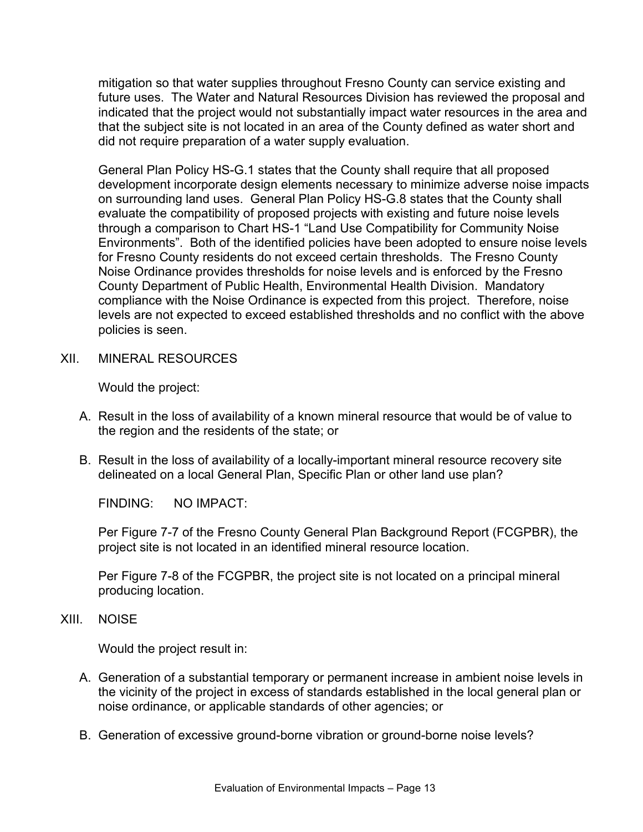mitigation so that water supplies throughout Fresno County can service existing and future uses. The Water and Natural Resources Division has reviewed the proposal and indicated that the project would not substantially impact water resources in the area and that the subject site is not located in an area of the County defined as water short and did not require preparation of a water supply evaluation.

General Plan Policy HS-G.1 states that the County shall require that all proposed development incorporate design elements necessary to minimize adverse noise impacts on surrounding land uses. General Plan Policy HS-G.8 states that the County shall evaluate the compatibility of proposed projects with existing and future noise levels through a comparison to Chart HS-1 "Land Use Compatibility for Community Noise Environments". Both of the identified policies have been adopted to ensure noise levels for Fresno County residents do not exceed certain thresholds. The Fresno County Noise Ordinance provides thresholds for noise levels and is enforced by the Fresno County Department of Public Health, Environmental Health Division. Mandatory compliance with the Noise Ordinance is expected from this project. Therefore, noise levels are not expected to exceed established thresholds and no conflict with the above policies is seen.

XII. MINERAL RESOURCES

Would the project:

- A. Result in the loss of availability of a known mineral resource that would be of value to the region and the residents of the state; or
- B. Result in the loss of availability of a locally-important mineral resource recovery site delineated on a local General Plan, Specific Plan or other land use plan?

FINDING: NO IMPACT:

Per Figure 7-7 of the Fresno County General Plan Background Report (FCGPBR), the project site is not located in an identified mineral resource location.

Per Figure 7-8 of the FCGPBR, the project site is not located on a principal mineral producing location.

#### XIII. NOISE

Would the project result in:

- A. Generation of a substantial temporary or permanent increase in ambient noise levels in the vicinity of the project in excess of standards established in the local general plan or noise ordinance, or applicable standards of other agencies; or
- B. Generation of excessive ground-borne vibration or ground-borne noise levels?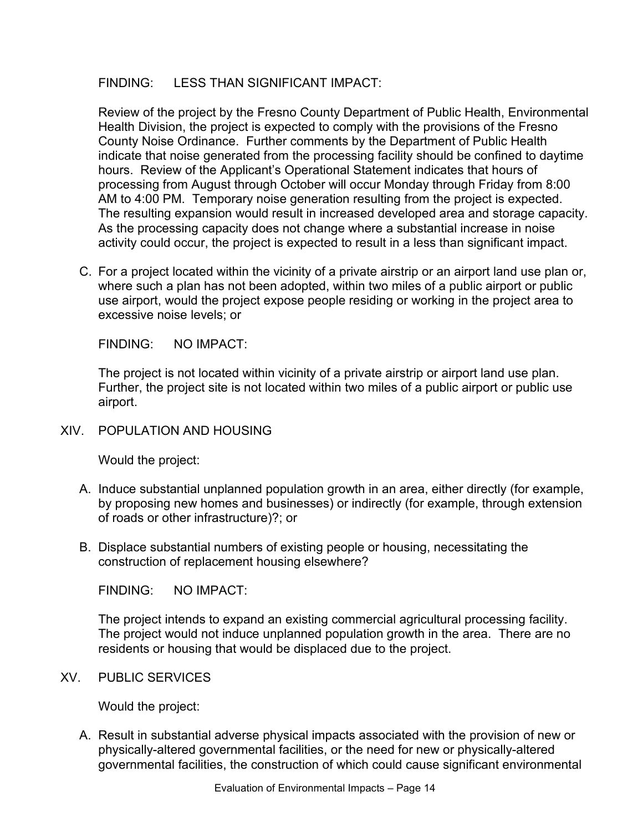### FINDING: LESS THAN SIGNIFICANT IMPACT:

Review of the project by the Fresno County Department of Public Health, Environmental Health Division, the project is expected to comply with the provisions of the Fresno County Noise Ordinance. Further comments by the Department of Public Health indicate that noise generated from the processing facility should be confined to daytime hours. Review of the Applicant's Operational Statement indicates that hours of processing from August through October will occur Monday through Friday from 8:00 AM to 4:00 PM. Temporary noise generation resulting from the project is expected. The resulting expansion would result in increased developed area and storage capacity. As the processing capacity does not change where a substantial increase in noise activity could occur, the project is expected to result in a less than significant impact.

C. For a project located within the vicinity of a private airstrip or an airport land use plan or, where such a plan has not been adopted, within two miles of a public airport or public use airport, would the project expose people residing or working in the project area to excessive noise levels; or

FINDING: NO IMPACT:

The project is not located within vicinity of a private airstrip or airport land use plan. Further, the project site is not located within two miles of a public airport or public use airport.

XIV. POPULATION AND HOUSING

Would the project:

- A. Induce substantial unplanned population growth in an area, either directly (for example, by proposing new homes and businesses) or indirectly (for example, through extension of roads or other infrastructure)?; or
- B. Displace substantial numbers of existing people or housing, necessitating the construction of replacement housing elsewhere?

FINDING: NO IMPACT:

The project intends to expand an existing commercial agricultural processing facility. The project would not induce unplanned population growth in the area. There are no residents or housing that would be displaced due to the project.

XV. PUBLIC SERVICES

Would the project:

A. Result in substantial adverse physical impacts associated with the provision of new or physically-altered governmental facilities, or the need for new or physically-altered governmental facilities, the construction of which could cause significant environmental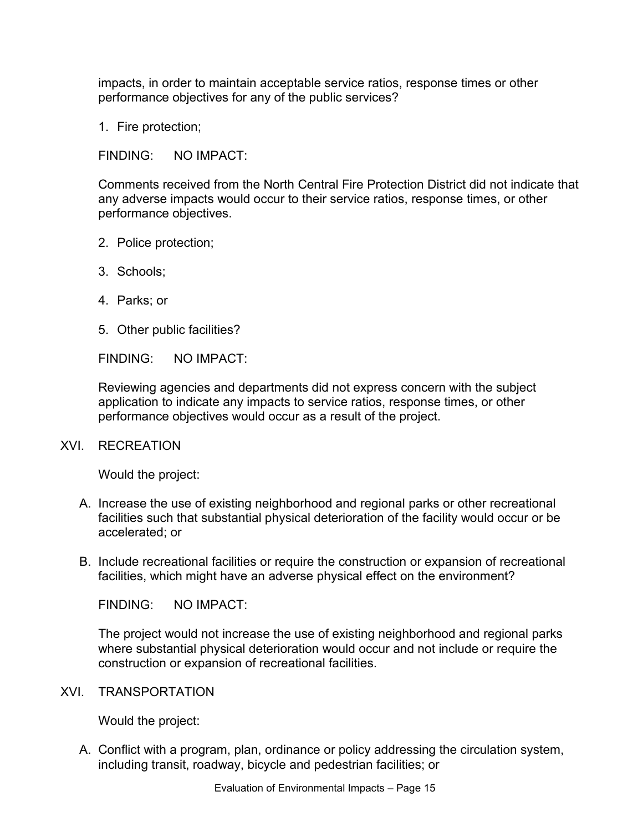impacts, in order to maintain acceptable service ratios, response times or other performance objectives for any of the public services?

1. Fire protection;

FINDING: NO IMPACT:

Comments received from the North Central Fire Protection District did not indicate that any adverse impacts would occur to their service ratios, response times, or other performance objectives.

- 2. Police protection;
- 3. Schools;
- 4. Parks; or
- 5. Other public facilities?

FINDING: NO IMPACT:

Reviewing agencies and departments did not express concern with the subject application to indicate any impacts to service ratios, response times, or other performance objectives would occur as a result of the project.

### XVI. RECREATION

Would the project:

- A. Increase the use of existing neighborhood and regional parks or other recreational facilities such that substantial physical deterioration of the facility would occur or be accelerated; or
- B. Include recreational facilities or require the construction or expansion of recreational facilities, which might have an adverse physical effect on the environment?

FINDING: NO IMPACT:

The project would not increase the use of existing neighborhood and regional parks where substantial physical deterioration would occur and not include or require the construction or expansion of recreational facilities.

#### XVI. TRANSPORTATION

Would the project:

A. Conflict with a program, plan, ordinance or policy addressing the circulation system, including transit, roadway, bicycle and pedestrian facilities; or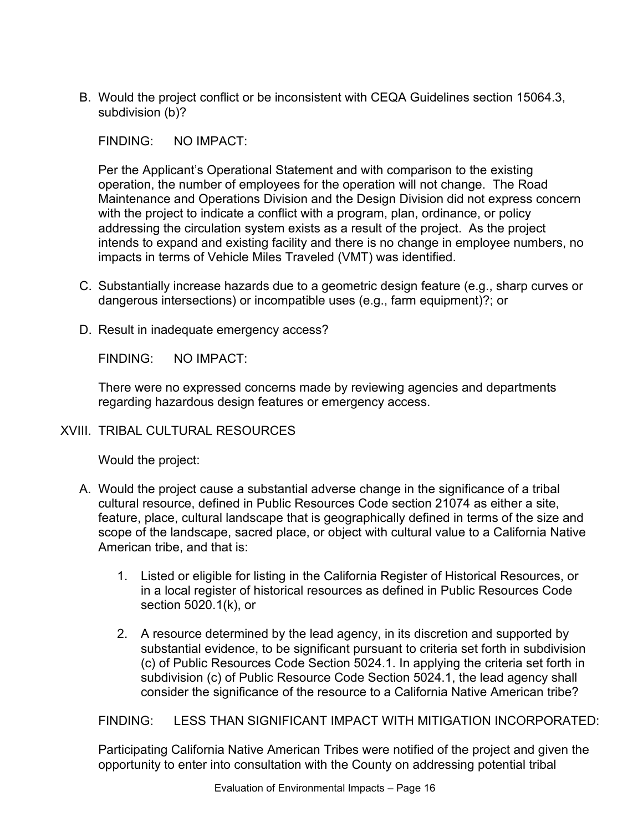B. Would the project conflict or be inconsistent with CEQA Guidelines section 15064.3, subdivision (b)?

FINDING: NO IMPACT:

Per the Applicant's Operational Statement and with comparison to the existing operation, the number of employees for the operation will not change. The Road Maintenance and Operations Division and the Design Division did not express concern with the project to indicate a conflict with a program, plan, ordinance, or policy addressing the circulation system exists as a result of the project. As the project intends to expand and existing facility and there is no change in employee numbers, no impacts in terms of Vehicle Miles Traveled (VMT) was identified.

- C. Substantially increase hazards due to a geometric design feature (e.g., sharp curves or dangerous intersections) or incompatible uses (e.g., farm equipment)?; or
- D. Result in inadequate emergency access?

FINDING: NO IMPACT:

There were no expressed concerns made by reviewing agencies and departments regarding hazardous design features or emergency access.

### XVIII. TRIBAL CULTURAL RESOURCES

Would the project:

- A. Would the project cause a substantial adverse change in the significance of a tribal cultural resource, defined in Public Resources Code section 21074 as either a site, feature, place, cultural landscape that is geographically defined in terms of the size and scope of the landscape, sacred place, or object with cultural value to a California Native American tribe, and that is:
	- 1. Listed or eligible for listing in the California Register of Historical Resources, or in a local register of historical resources as defined in Public Resources Code section 5020.1(k), or
	- 2. A resource determined by the lead agency, in its discretion and supported by substantial evidence, to be significant pursuant to criteria set forth in subdivision (c) of Public Resources Code Section 5024.1. In applying the criteria set forth in subdivision (c) of Public Resource Code Section 5024.1, the lead agency shall consider the significance of the resource to a California Native American tribe?

### FINDING: LESS THAN SIGNIFICANT IMPACT WITH MITIGATION INCORPORATED:

Participating California Native American Tribes were notified of the project and given the opportunity to enter into consultation with the County on addressing potential tribal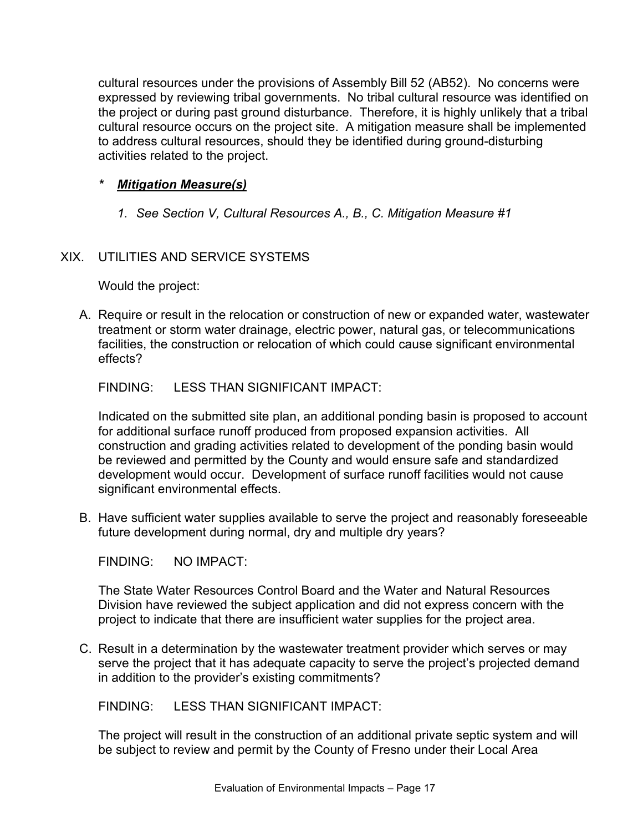cultural resources under the provisions of Assembly Bill 52 (AB52). No concerns were expressed by reviewing tribal governments. No tribal cultural resource was identified on the project or during past ground disturbance. Therefore, it is highly unlikely that a tribal cultural resource occurs on the project site. A mitigation measure shall be implemented to address cultural resources, should they be identified during ground-disturbing activities related to the project.

### *\* Mitigation Measure(s)*

*1. See Section V, Cultural Resources A., B., C. Mitigation Measure #1*

### XIX. UTILITIES AND SERVICE SYSTEMS

Would the project:

A. Require or result in the relocation or construction of new or expanded water, wastewater treatment or storm water drainage, electric power, natural gas, or telecommunications facilities, the construction or relocation of which could cause significant environmental effects?

FINDING: LESS THAN SIGNIFICANT IMPACT:

Indicated on the submitted site plan, an additional ponding basin is proposed to account for additional surface runoff produced from proposed expansion activities. All construction and grading activities related to development of the ponding basin would be reviewed and permitted by the County and would ensure safe and standardized development would occur. Development of surface runoff facilities would not cause significant environmental effects.

B. Have sufficient water supplies available to serve the project and reasonably foreseeable future development during normal, dry and multiple dry years?

FINDING: NO IMPACT:

The State Water Resources Control Board and the Water and Natural Resources Division have reviewed the subject application and did not express concern with the project to indicate that there are insufficient water supplies for the project area.

C. Result in a determination by the wastewater treatment provider which serves or may serve the project that it has adequate capacity to serve the project's projected demand in addition to the provider's existing commitments?

FINDING: LESS THAN SIGNIFICANT IMPACT:

The project will result in the construction of an additional private septic system and will be subject to review and permit by the County of Fresno under their Local Area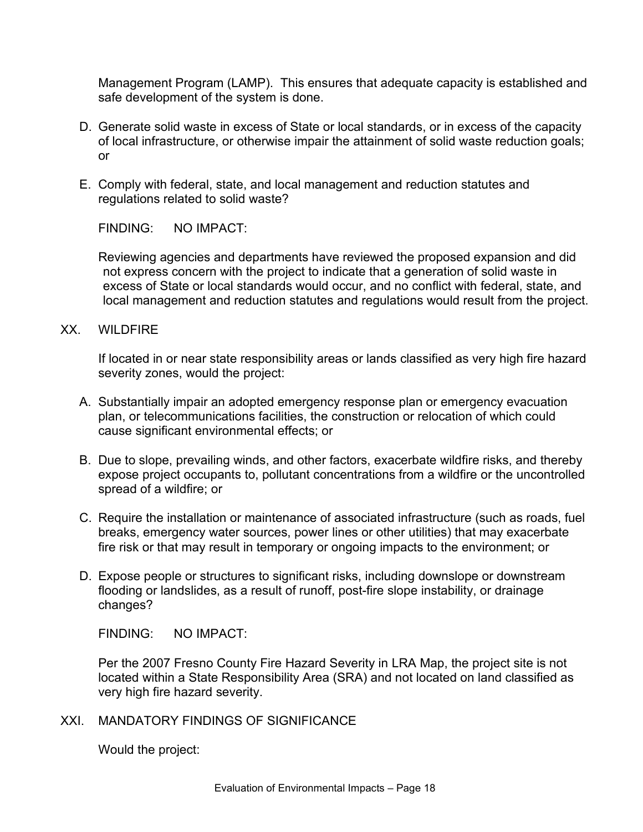Management Program (LAMP). This ensures that adequate capacity is established and safe development of the system is done.

- D. Generate solid waste in excess of State or local standards, or in excess of the capacity of local infrastructure, or otherwise impair the attainment of solid waste reduction goals; or
- E. Comply with federal, state, and local management and reduction statutes and regulations related to solid waste?

FINDING: NO IMPACT:

Reviewing agencies and departments have reviewed the proposed expansion and did not express concern with the project to indicate that a generation of solid waste in excess of State or local standards would occur, and no conflict with federal, state, and local management and reduction statutes and regulations would result from the project.

XX. WILDFIRE

If located in or near state responsibility areas or lands classified as very high fire hazard severity zones, would the project:

- A. Substantially impair an adopted emergency response plan or emergency evacuation plan, or telecommunications facilities, the construction or relocation of which could cause significant environmental effects; or
- B. Due to slope, prevailing winds, and other factors, exacerbate wildfire risks, and thereby expose project occupants to, pollutant concentrations from a wildfire or the uncontrolled spread of a wildfire; or
- C. Require the installation or maintenance of associated infrastructure (such as roads, fuel breaks, emergency water sources, power lines or other utilities) that may exacerbate fire risk or that may result in temporary or ongoing impacts to the environment; or
- D. Expose people or structures to significant risks, including downslope or downstream flooding or landslides, as a result of runoff, post-fire slope instability, or drainage changes?

FINDING: NO IMPACT:

Per the 2007 Fresno County Fire Hazard Severity in LRA Map, the project site is not located within a State Responsibility Area (SRA) and not located on land classified as very high fire hazard severity.

XXI. MANDATORY FINDINGS OF SIGNIFICANCE

Would the project: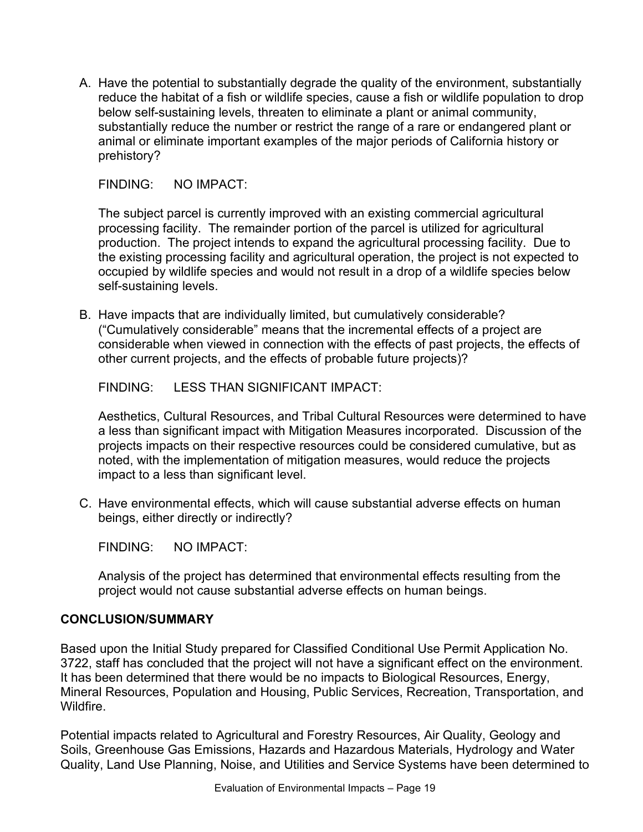A. Have the potential to substantially degrade the quality of the environment, substantially reduce the habitat of a fish or wildlife species, cause a fish or wildlife population to drop below self-sustaining levels, threaten to eliminate a plant or animal community, substantially reduce the number or restrict the range of a rare or endangered plant or animal or eliminate important examples of the major periods of California history or prehistory?

FINDING: NO IMPACT:

The subject parcel is currently improved with an existing commercial agricultural processing facility. The remainder portion of the parcel is utilized for agricultural production. The project intends to expand the agricultural processing facility. Due to the existing processing facility and agricultural operation, the project is not expected to occupied by wildlife species and would not result in a drop of a wildlife species below self-sustaining levels.

B. Have impacts that are individually limited, but cumulatively considerable? ("Cumulatively considerable" means that the incremental effects of a project are considerable when viewed in connection with the effects of past projects, the effects of other current projects, and the effects of probable future projects)?

FINDING: LESS THAN SIGNIFICANT IMPACT:

Aesthetics, Cultural Resources, and Tribal Cultural Resources were determined to have a less than significant impact with Mitigation Measures incorporated. Discussion of the projects impacts on their respective resources could be considered cumulative, but as noted, with the implementation of mitigation measures, would reduce the projects impact to a less than significant level.

C. Have environmental effects, which will cause substantial adverse effects on human beings, either directly or indirectly?

FINDING: NO IMPACT:

Analysis of the project has determined that environmental effects resulting from the project would not cause substantial adverse effects on human beings.

### **CONCLUSION/SUMMARY**

Based upon the Initial Study prepared for Classified Conditional Use Permit Application No. 3722, staff has concluded that the project will not have a significant effect on the environment. It has been determined that there would be no impacts to Biological Resources, Energy, Mineral Resources, Population and Housing, Public Services, Recreation, Transportation, and Wildfire.

Potential impacts related to Agricultural and Forestry Resources, Air Quality, Geology and Soils, Greenhouse Gas Emissions, Hazards and Hazardous Materials, Hydrology and Water Quality, Land Use Planning, Noise, and Utilities and Service Systems have been determined to